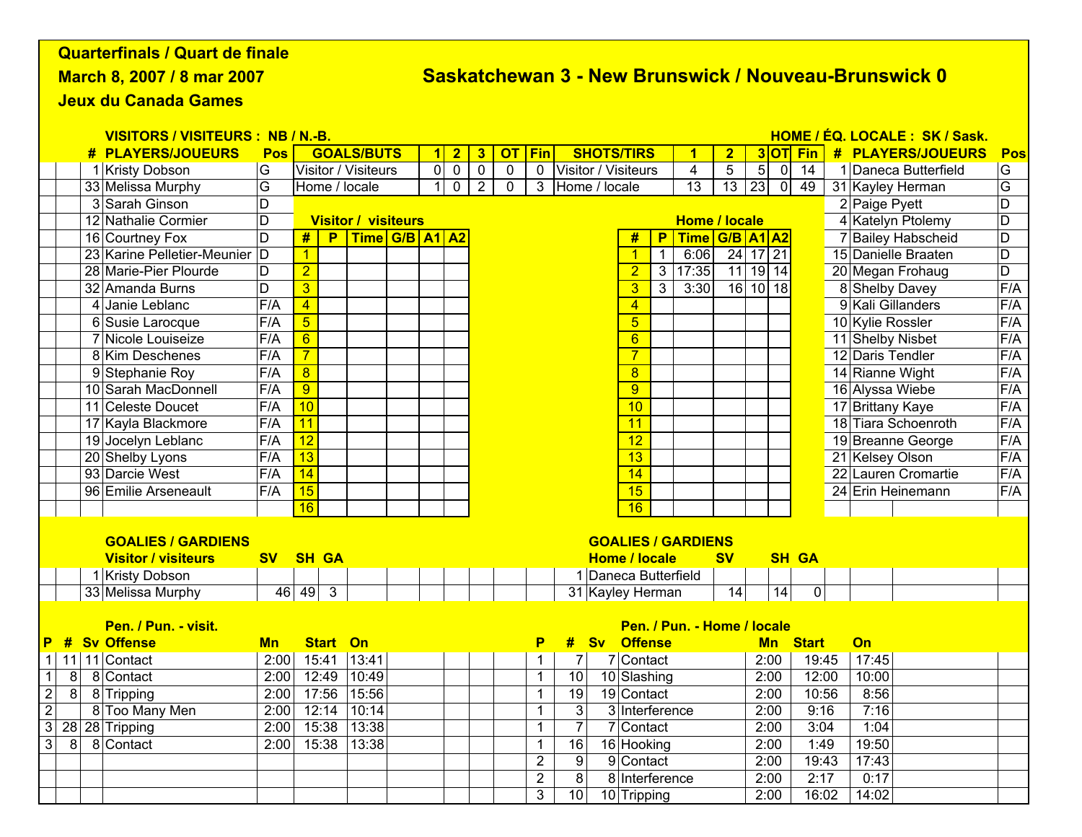## Quarterfinals / Quart de finale

March 8, 2007 / 8 mar 2007

## Saskatchewan 3 - New Brunswick / Nouveau-Brunswick 0

Jeux du Canada Games

| <b>VISITORS / VISITEURS : NB / N.-B.</b> |                                                        |  |                               |                                                   |                            |                            |                                  |                                            |                                                      |                |                                |                     | HOME / ÉQ. LOCALE: SK / Sask.    |                          |                             |                 |                            |                  |                |                 |                  |                      |                  |
|------------------------------------------|--------------------------------------------------------|--|-------------------------------|---------------------------------------------------|----------------------------|----------------------------|----------------------------------|--------------------------------------------|------------------------------------------------------|----------------|--------------------------------|---------------------|----------------------------------|--------------------------|-----------------------------|-----------------|----------------------------|------------------|----------------|-----------------|------------------|----------------------|------------------|
|                                          |                                                        |  | <b># PLAYERS/JOUEURS</b>      | Pos                                               | <b>GOALS/BUTS</b>          |                            |                                  | 3 <sup>5</sup><br>$\overline{or}$<br>$1$ 2 |                                                      |                | Fin                            | <b>SHOTS/TIRS</b>   |                                  |                          |                             | 1               | $\overline{2}$             |                  |                | 3OT Fin         |                  | # PLAYERS/JOUEURS    | Pos              |
|                                          |                                                        |  | 1 Kristy Dobson               | G                                                 | <b>Visitor / Visiteurs</b> |                            |                                  | 0 <sub>0</sub>                             | $\overline{0}$                                       | $\overline{0}$ | $\overline{0}$                 | Visitor / Visiteurs |                                  |                          |                             | $\overline{4}$  | $\overline{5}$             | $5\overline{)}$  | $\overline{0}$ | $\overline{14}$ |                  | 1 Daneca Butterfield | G                |
|                                          |                                                        |  | 33 Melissa Murphy             | G                                                 | Home / locale              |                            | $\overline{0}$<br>1 <sup>1</sup> |                                            | $\overline{2}$<br>$\mathbf{0}$<br>3<br>Home / locale |                |                                |                     |                                  |                          | $\overline{13}$             | $\overline{13}$ | 23<br>$\overline{0}$<br>49 |                  |                |                 | 31 Kayley Herman | G                    |                  |
|                                          |                                                        |  | 3 Sarah Ginson                | D                                                 |                            |                            |                                  |                                            |                                                      |                |                                |                     |                                  |                          |                             |                 |                            |                  | 2 Paige Pyett  | $\overline{D}$  |                  |                      |                  |
|                                          |                                                        |  | 12 Nathalie Cormier           | D                                                 |                            | <b>Visitor / visiteurs</b> |                                  |                                            |                                                      |                |                                |                     |                                  |                          |                             |                 | <b>Home / locale</b>       |                  |                |                 |                  | 4 Katelyn Ptolemy    | D                |
|                                          |                                                        |  | 16 Courtney Fox               | D                                                 | #<br>Time G/B A1 A2<br>P   |                            |                                  |                                            |                                                      |                |                                |                     |                                  | #                        | P <sub>1</sub>              |                 | Time G/B A1 A2             |                  |                |                 |                  | 7 Bailey Habscheid   | $\overline{D}$   |
|                                          |                                                        |  | 23 Karine Pelletier-Meunier D |                                                   | $\overline{1}$             |                            |                                  |                                            |                                                      |                |                                |                     |                                  | $\mathbf{1}$             | $\mathbf{1}$                | 6:06            | 24 17 21                   |                  |                |                 |                  | 15 Danielle Braaten  | $\overline{D}$   |
|                                          |                                                        |  | 28 Marie-Pier Plourde         | D                                                 | $\overline{2}$             |                            |                                  |                                            |                                                      |                |                                |                     |                                  | 2 <sup>1</sup>           | ن                           | 17:35           | $11$ 19 14                 |                  |                |                 |                  | 20 Megan Frohaug     | D                |
|                                          |                                                        |  | 32 Amanda Burns               | $\overline{D}$                                    | $\overline{3}$             |                            |                                  |                                            |                                                      |                |                                |                     |                                  | $\overline{3}$           | $\overline{3}$              | 3:30            | $16$ 10 18                 |                  |                |                 |                  | 8 Shelby Davey       | F/A              |
|                                          |                                                        |  | 4 Janie Leblanc               | F/A                                               | $\overline{4}$             |                            |                                  |                                            |                                                      |                |                                |                     |                                  | $\overline{4}$           |                             |                 |                            |                  |                |                 |                  | 9 Kali Gillanders    | F/A              |
|                                          |                                                        |  | 6 Susie Larocque              | F/A                                               | $\overline{5}$             |                            |                                  |                                            |                                                      | $\overline{5}$ |                                |                     |                                  |                          |                             |                 |                            | 10 Kylie Rossler | F/A            |                 |                  |                      |                  |
|                                          |                                                        |  | 7 Nicole Louiseize            | F/A                                               | $\overline{6}$             |                            |                                  |                                            |                                                      |                |                                |                     |                                  | $\overline{6}$           |                             |                 |                            |                  |                |                 |                  | 11 Shelby Nisbet     | F/A              |
|                                          |                                                        |  | 8 Kim Deschenes               | F/A                                               | $\overline{7}$             |                            |                                  |                                            |                                                      |                |                                |                     |                                  | $\overline{7}$           |                             |                 |                            |                  |                |                 |                  | 12 Daris Tendler     | F/A              |
|                                          |                                                        |  | 9 Stephanie Roy               | F/A                                               | $\overline{8}$             |                            |                                  |                                            |                                                      |                |                                |                     |                                  | $\overline{8}$           |                             |                 |                            |                  |                |                 |                  | 14 Rianne Wight      | F/A              |
|                                          |                                                        |  | 10 Sarah MacDonnell           | F/A                                               | $\overline{9}$             |                            |                                  |                                            |                                                      |                |                                |                     |                                  | $\overline{9}$           |                             |                 |                            |                  |                |                 |                  | 16 Alyssa Wiebe      | F/A              |
|                                          |                                                        |  | 11 Celeste Doucet             | F/A                                               | 10                         |                            |                                  |                                            |                                                      |                |                                |                     |                                  | 10                       |                             |                 |                            |                  |                |                 |                  | 17 Brittany Kaye     | F/A              |
|                                          |                                                        |  | 17 Kayla Blackmore            | F/A                                               | 11                         |                            |                                  |                                            |                                                      |                |                                |                     |                                  | $\overline{11}$          |                             |                 |                            |                  |                |                 |                  | 18 Tiara Schoenroth  | F/A              |
|                                          |                                                        |  | 19 Jocelyn Leblanc            | F/A                                               | $\overline{12}$            |                            |                                  |                                            |                                                      |                |                                |                     |                                  | $\overline{12}$          |                             |                 |                            |                  |                |                 |                  | 19 Breanne George    | F/A              |
|                                          |                                                        |  | 20 Shelby Lyons               | F/A                                               | 13                         |                            |                                  |                                            |                                                      |                |                                |                     |                                  | $\overline{13}$          |                             |                 |                            |                  |                |                 |                  | 21 Kelsey Olson      | $\overline{F/A}$ |
|                                          |                                                        |  | 93 Darcie West                | F/A                                               | 14                         |                            |                                  |                                            |                                                      |                |                                |                     |                                  | 14                       |                             |                 |                            |                  |                |                 |                  | 22 Lauren Cromartie  | F/A              |
|                                          |                                                        |  | 96 Emilie Arseneault          | F/A                                               | 15                         |                            |                                  |                                            |                                                      |                |                                |                     |                                  | 15                       |                             |                 |                            |                  |                |                 |                  | 24 Erin Heinemann    | F/A              |
|                                          |                                                        |  |                               |                                                   | 16                         |                            |                                  |                                            |                                                      |                |                                |                     |                                  | 16                       |                             |                 |                            |                  |                |                 |                  |                      |                  |
|                                          |                                                        |  |                               |                                                   |                            |                            |                                  |                                            |                                                      |                |                                |                     |                                  |                          |                             |                 |                            |                  |                |                 |                  |                      |                  |
|                                          | <b>GOALIES / GARDIENS</b><br><b>GOALIES / GARDIENS</b> |  |                               |                                                   |                            |                            |                                  |                                            |                                                      |                |                                |                     |                                  |                          |                             |                 |                            |                  |                |                 |                  |                      |                  |
|                                          |                                                        |  | <b>Visitor / visiteurs</b>    | <b>SH GA</b><br><b>Home / locale</b><br><b>SV</b> |                            |                            |                                  |                                            |                                                      |                |                                |                     |                                  |                          | <b>SV</b>                   |                 |                            | <b>SH GA</b>     |                |                 |                  |                      |                  |
|                                          |                                                        |  | 1 Kristy Dobson               |                                                   |                            |                            |                                  |                                            |                                                      |                |                                |                     | 1 Daneca Butterfield             |                          |                             |                 |                            |                  |                |                 |                  |                      |                  |
|                                          |                                                        |  | 33 Melissa Murphy             |                                                   | $46$ 49 3                  |                            |                                  |                                            |                                                      |                |                                |                     |                                  | 31 Kayley Herman         |                             |                 | 14                         |                  | 14             | $\overline{0}$  |                  |                      |                  |
|                                          |                                                        |  |                               |                                                   |                            |                            |                                  |                                            |                                                      |                |                                |                     |                                  |                          |                             |                 |                            |                  |                |                 |                  |                      |                  |
|                                          | Pen. / Pun. - visit.                                   |  |                               |                                                   |                            |                            |                                  |                                            |                                                      |                |                                |                     |                                  |                          | Pen. / Pun. - Home / locale |                 |                            |                  |                |                 |                  |                      |                  |
| <u>P</u>                                 | #                                                      |  | <b>Sv Offense</b>             | <b>Mn</b>                                         | <b>Start</b>               | On                         |                                  |                                            |                                                      |                | P                              | #                   | Sv                               | <b>Offense</b>           |                             |                 |                            |                  |                | <b>Mn Start</b> |                  | On                   |                  |
| $\mathbf{1}$                             |                                                        |  | 11 11 Contact                 | 2:00                                              | 15:41                      | 13:41                      |                                  |                                            |                                                      |                | $\mathbf{1}$<br>$\mathbf 1$    | $\overline{7}$      |                                  | 7 Contact<br>10 Slashing |                             |                 |                            |                  | 2:00           | 19:45           |                  | 17:45                |                  |
| $\overline{1}$                           | 8                                                      |  | 8 Contact                     | 2:00                                              | 12:49                      | 10:49                      |                                  |                                            |                                                      |                |                                |                     | 10                               |                          |                             |                 |                            | 2:00             |                | 12:00           |                  | 10:00                |                  |
| $\overline{c}$                           | $\overline{8}$                                         |  | 8 Tripping                    | 2:00                                              | 17:56                      | 15:56                      |                                  |                                            |                                                      |                | 1                              | 19                  |                                  | 19 Contact               |                             |                 |                            |                  | 2:00           | 10:56           |                  | 8:56                 |                  |
| $\overline{2}$                           |                                                        |  | 8 Too Many Men                | 2:00                                              | 12:14                      | 10:14                      |                                  |                                            |                                                      |                | 1                              | $\overline{3}$      |                                  | 3 Interference           |                             |                 |                            |                  | 2:00           | 9:16            |                  | 7:16                 |                  |
| $\overline{3}$                           |                                                        |  | 28 28 Tripping                | 2:00                                              | 15:38                      | 13:38                      |                                  |                                            |                                                      |                | $\overline{7}$<br>$\mathbf{1}$ |                     |                                  | 7 Contact                |                             |                 |                            |                  | 2:00           | 3:04            |                  | 1:04                 |                  |
| $\mathbf{3}$                             | 8 <sup>1</sup>                                         |  | 8 Contact                     | 2:00                                              | 15:38<br>13:38             |                            |                                  |                                            |                                                      |                | 1                              |                     | 16<br>16 Hooking                 |                          |                             |                 | 2:00<br>2:00               |                  |                | 1:49            |                  | 19:50                |                  |
|                                          |                                                        |  |                               |                                                   |                            |                            |                                  |                                            |                                                      |                | $\overline{2}$                 |                     | 9<br>9 Contact<br>8 Interference |                          |                             |                 |                            |                  |                | 19:43           |                  | 17:43                |                  |
|                                          |                                                        |  |                               |                                                   |                            |                            |                                  |                                            |                                                      |                | $\overline{2}$                 | 8                   |                                  |                          |                             |                 |                            | 2:00             |                | 2:17            |                  | 0:17                 |                  |
|                                          |                                                        |  |                               |                                                   |                            |                            |                                  |                                            |                                                      |                | 3                              | 10 <sup>1</sup>     |                                  | 10 Tripping              |                             | 2:00            |                            |                  |                | 16:02           |                  | 14:02                |                  |